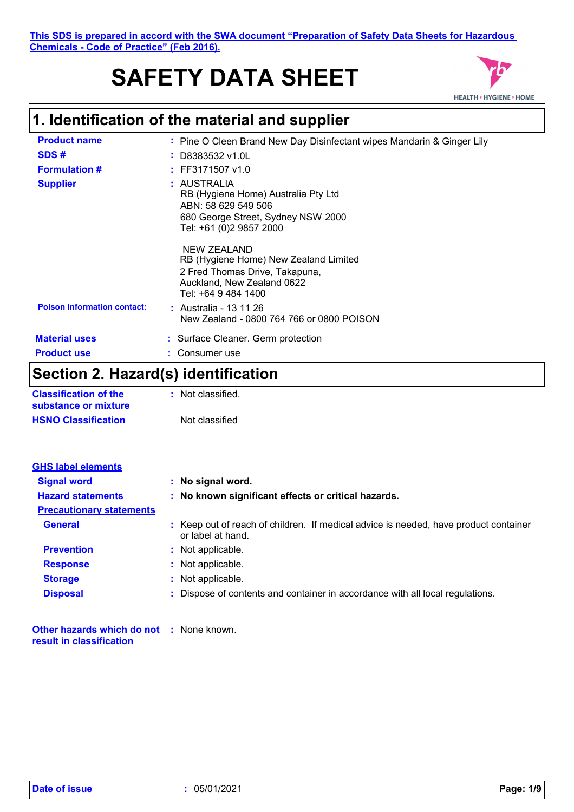# **SAFETY DATA SHEET**



# **1. Identification of the material and supplier**

| <b>Product name</b>                | : Pine O Cleen Brand New Day Disinfectant wipes Mandarin & Ginger Lily                                                                      |
|------------------------------------|---------------------------------------------------------------------------------------------------------------------------------------------|
| SDS#                               | $\frac{1}{2}$ D8383532 v1.0L                                                                                                                |
| <b>Formulation #</b>               | $:$ FF3171507 v1.0                                                                                                                          |
| <b>Supplier</b>                    | : AUSTRALIA<br>RB (Hygiene Home) Australia Pty Ltd<br>ABN: 58 629 549 506<br>680 George Street, Sydney NSW 2000<br>Tel: +61 (0)2 9857 2000  |
|                                    | NEW ZEALAND<br>RB (Hygiene Home) New Zealand Limited<br>2 Fred Thomas Drive, Takapuna,<br>Auckland, New Zealand 0622<br>Tel: +64 9 484 1400 |
| <b>Poison Information contact:</b> | : Australia - 13 11 26<br>New Zealand - 0800 764 766 or 0800 POISON                                                                         |
| <b>Material uses</b>               | : Surface Cleaner. Germ protection                                                                                                          |
| <b>Product use</b>                 | : Consumer use                                                                                                                              |
| .<br>- -                           |                                                                                                                                             |

### **Section 2. Hazard(s) identification**

| <b>Classification of the</b> | : Not classified. |
|------------------------------|-------------------|
| substance or mixture         |                   |
| <b>HSNO Classification</b>   | Not classified    |

| <b>GHS label elements</b>       |                                                                                                           |
|---------------------------------|-----------------------------------------------------------------------------------------------------------|
| <b>Signal word</b>              | : No signal word.                                                                                         |
| <b>Hazard statements</b>        | : No known significant effects or critical hazards.                                                       |
| <b>Precautionary statements</b> |                                                                                                           |
| <b>General</b>                  | : Keep out of reach of children. If medical advice is needed, have product container<br>or label at hand. |
| <b>Prevention</b>               | : Not applicable.                                                                                         |
| <b>Response</b>                 | : Not applicable.                                                                                         |
| <b>Storage</b>                  | : Not applicable.                                                                                         |
| <b>Disposal</b>                 | : Dispose of contents and container in accordance with all local regulations.                             |
|                                 |                                                                                                           |

**Other hazards which do not :** None known. **result in classification**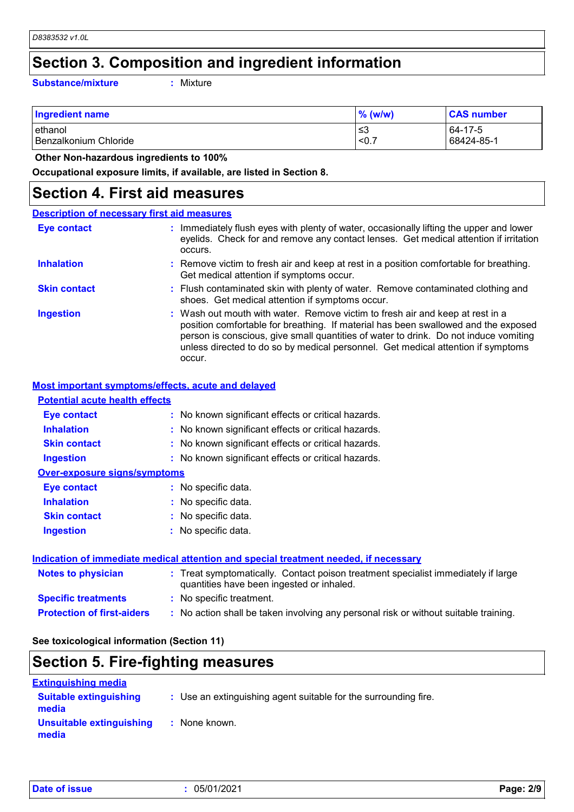### **Section 3. Composition and ingredient information**

**Substance/mixture :**

: Mixture

| <b>Ingredient name</b> | $\%$ (w/w) | <b>CAS number</b> |
|------------------------|------------|-------------------|
| lethanol               | ≤3         | 64-17-5           |
| Benzalkonium Chloride  | < 0.7      | 68424-85-1        |

 **Other Non-hazardous ingredients to 100%**

**Occupational exposure limits, if available, are listed in Section 8.**

### **Section 4. First aid measures**

| <b>Description of necessary first aid measures</b> |                                                                                                                                                                                                                                                                                                                                                           |
|----------------------------------------------------|-----------------------------------------------------------------------------------------------------------------------------------------------------------------------------------------------------------------------------------------------------------------------------------------------------------------------------------------------------------|
| Eye contact                                        | : Immediately flush eyes with plenty of water, occasionally lifting the upper and lower<br>eyelids. Check for and remove any contact lenses. Get medical attention if irritation<br>occurs.                                                                                                                                                               |
| <b>Inhalation</b>                                  | : Remove victim to fresh air and keep at rest in a position comfortable for breathing.<br>Get medical attention if symptoms occur.                                                                                                                                                                                                                        |
| <b>Skin contact</b>                                | : Flush contaminated skin with plenty of water. Remove contaminated clothing and<br>shoes. Get medical attention if symptoms occur.                                                                                                                                                                                                                       |
| <b>Ingestion</b>                                   | : Wash out mouth with water. Remove victim to fresh air and keep at rest in a<br>position comfortable for breathing. If material has been swallowed and the exposed<br>person is conscious, give small quantities of water to drink. Do not induce vomiting<br>unless directed to do so by medical personnel. Get medical attention if symptoms<br>occur. |

#### **Most important symptoms/effects, acute and delayed**

| <b>Potential acute health effects</b> |                                                     |
|---------------------------------------|-----------------------------------------------------|
| Eye contact                           | : No known significant effects or critical hazards. |
| <b>Inhalation</b>                     | : No known significant effects or critical hazards. |
| <b>Skin contact</b>                   | : No known significant effects or critical hazards. |
| <b>Ingestion</b>                      | : No known significant effects or critical hazards. |
| <b>Over-exposure signs/symptoms</b>   |                                                     |
| Eye contact                           | : No specific data.                                 |
| <b>Inhalation</b>                     | : No specific data.                                 |
| <b>Skin contact</b>                   | : No specific data.                                 |
| <b>Ingestion</b>                      | : No specific data.                                 |
|                                       |                                                     |
|                                       |                                                     |

| Indication of immediate medical attention and special treatment needed, if necessary |                                                                                                                                |  |
|--------------------------------------------------------------------------------------|--------------------------------------------------------------------------------------------------------------------------------|--|
| Notes to physician                                                                   | : Treat symptomatically. Contact poison treatment specialist immediately if large<br>quantities have been ingested or inhaled. |  |
| <b>Specific treatments</b>                                                           | : No specific treatment.                                                                                                       |  |
| <b>Protection of first-aiders</b>                                                    | : No action shall be taken involving any personal risk or without suitable training.                                           |  |

**See toxicological information (Section 11)**

### **Section 5. Fire-fighting measures**

| <b>Extinguishing media</b>             |                                                                 |
|----------------------------------------|-----------------------------------------------------------------|
| <b>Suitable extinguishing</b><br>media | : Use an extinguishing agent suitable for the surrounding fire. |
| Unsuitable extinguishing<br>media      | : None known.                                                   |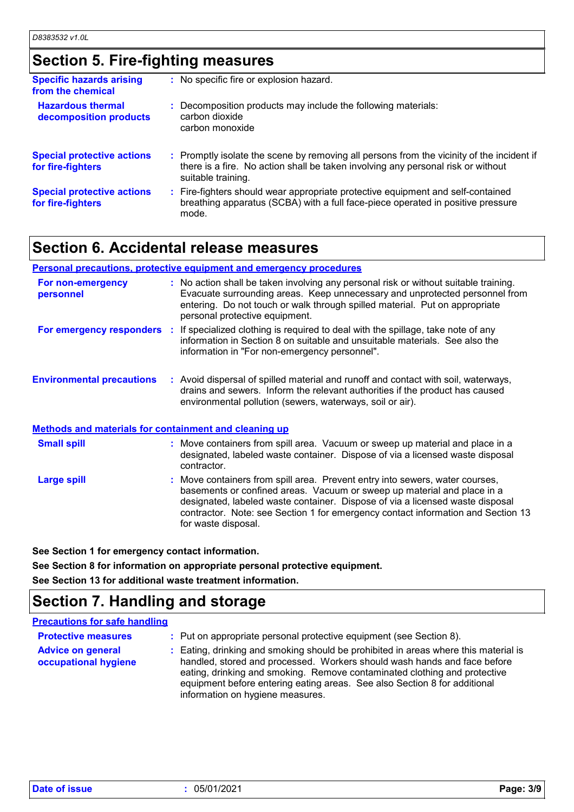### **Section 5. Fire-fighting measures**

| <b>Specific hazards arising</b><br>from the chemical   | : No specific fire or explosion hazard.                                                                                                                                                             |
|--------------------------------------------------------|-----------------------------------------------------------------------------------------------------------------------------------------------------------------------------------------------------|
| <b>Hazardous thermal</b><br>decomposition products     | : Decomposition products may include the following materials:<br>carbon dioxide<br>carbon monoxide                                                                                                  |
| <b>Special protective actions</b><br>for fire-fighters | : Promptly isolate the scene by removing all persons from the vicinity of the incident if<br>there is a fire. No action shall be taken involving any personal risk or without<br>suitable training. |
| <b>Special protective actions</b><br>for fire-fighters | : Fire-fighters should wear appropriate protective equipment and self-contained<br>breathing apparatus (SCBA) with a full face-piece operated in positive pressure<br>mode.                         |

### **Section 6. Accidental release measures**

#### **Personal precautions, protective equipment and emergency procedures**

| For non-emergency<br>personnel                               | : No action shall be taken involving any personal risk or without suitable training.<br>Evacuate surrounding areas. Keep unnecessary and unprotected personnel from<br>entering. Do not touch or walk through spilled material. Put on appropriate<br>personal protective equipment. |
|--------------------------------------------------------------|--------------------------------------------------------------------------------------------------------------------------------------------------------------------------------------------------------------------------------------------------------------------------------------|
| For emergency responders                                     | If specialized clothing is required to deal with the spillage, take note of any<br>Æ.<br>information in Section 8 on suitable and unsuitable materials. See also the<br>information in "For non-emergency personnel".                                                                |
| <b>Environmental precautions</b>                             | : Avoid dispersal of spilled material and runoff and contact with soil, waterways,<br>drains and sewers. Inform the relevant authorities if the product has caused<br>environmental pollution (sewers, waterways, soil or air).                                                      |
| <b>Methods and materials for containment and cleaning up</b> |                                                                                                                                                                                                                                                                                      |
| <b>Small spill</b>                                           | : Move containers from spill area. Vacuum or sweep up material and place in a<br>designated, labeled waste container. Dispose of via a licensed waste disposal                                                                                                                       |

Move containers from spill area. Prevent entry into sewers, water courses, basements or confined areas. Vacuum or sweep up material and place in a designated, labeled waste container. Dispose of via a licensed waste disposal contractor. Note: see Section 1 for emergency contact information and Section 13 for waste disposal. **Large spill :** contractor.

**See Section 1 for emergency contact information.**

**See Section 8 for information on appropriate personal protective equipment. See Section 13 for additional waste treatment information.**

### **Section 7. Handling and storage**

#### **Precautions for safe handling**

| <b>Protective measures</b><br><b>Advice on general</b><br>occupational hygiene | : Put on appropriate personal protective equipment (see Section 8).<br>: Eating, drinking and smoking should be prohibited in areas where this material is<br>handled, stored and processed. Workers should wash hands and face before<br>eating, drinking and smoking. Remove contaminated clothing and protective<br>equipment before entering eating areas. See also Section 8 for additional |
|--------------------------------------------------------------------------------|--------------------------------------------------------------------------------------------------------------------------------------------------------------------------------------------------------------------------------------------------------------------------------------------------------------------------------------------------------------------------------------------------|
|                                                                                | information on hygiene measures.                                                                                                                                                                                                                                                                                                                                                                 |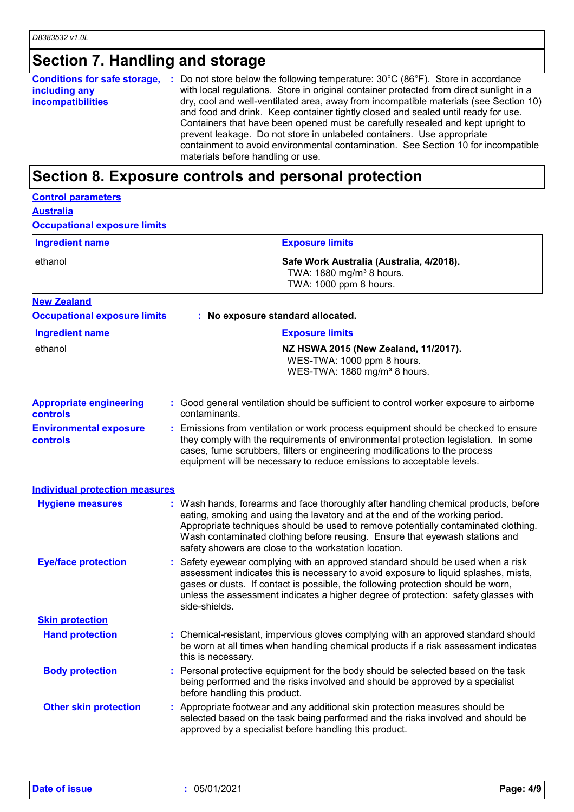# **Section 7. Handling and storage**

| Conditions for safe storage, : | Do not store below the following temperature: $30^{\circ}$ C (86 $^{\circ}$ F). Store in accordance |
|--------------------------------|-----------------------------------------------------------------------------------------------------|
| including any                  | with local regulations. Store in original container protected from direct sunlight in a             |
| <b>incompatibilities</b>       | dry, cool and well-ventilated area, away from incompatible materials (see Section 10)               |
|                                | and food and drink. Keep container tightly closed and sealed until ready for use.                   |
|                                | Containers that have been opened must be carefully resealed and kept upright to                     |
|                                | prevent leakage. Do not store in unlabeled containers. Use appropriate                              |
|                                | containment to avoid environmental contamination. See Section 10 for incompatible                   |
|                                | materials before handling or use.                                                                   |

### **Section 8. Exposure controls and personal protection**

### **Control parameters**

**Australia**

#### **Occupational exposure limits**

| Ingredient name | <b>Exposure limits</b>                                                                                     |
|-----------------|------------------------------------------------------------------------------------------------------------|
| lethanol        | Safe Work Australia (Australia, 4/2018).<br>TWA: 1880 mg/m <sup>3</sup> 8 hours.<br>TWA: 1000 ppm 8 hours. |

#### **New Zealand**

**Occupational exposure limits : No exposure standard allocated.**

| Ingredient name | <b>Exposure limits</b>                                                                                         |
|-----------------|----------------------------------------------------------------------------------------------------------------|
| ethanol         | NZ HSWA 2015 (New Zealand, 11/2017).<br>WES-TWA: 1000 ppm 8 hours.<br>WES-TWA: 1880 mg/m <sup>3</sup> 8 hours. |

| <b>Appropriate engineering</b><br><b>controls</b> | : Good general ventilation should be sufficient to control worker exposure to airborne<br>contaminants.                                                                                                                                                                                                                                                                                           |  |  |
|---------------------------------------------------|---------------------------------------------------------------------------------------------------------------------------------------------------------------------------------------------------------------------------------------------------------------------------------------------------------------------------------------------------------------------------------------------------|--|--|
| <b>Environmental exposure</b><br>controls         | : Emissions from ventilation or work process equipment should be checked to ensure<br>they comply with the requirements of environmental protection legislation. In some<br>cases, fume scrubbers, filters or engineering modifications to the process<br>equipment will be necessary to reduce emissions to acceptable levels.                                                                   |  |  |
| <b>Individual protection measures</b>             |                                                                                                                                                                                                                                                                                                                                                                                                   |  |  |
| <b>Hygiene measures</b>                           | : Wash hands, forearms and face thoroughly after handling chemical products, before<br>eating, smoking and using the lavatory and at the end of the working period.<br>Appropriate techniques should be used to remove potentially contaminated clothing.<br>Wash contaminated clothing before reusing. Ensure that eyewash stations and<br>safety showers are close to the workstation location. |  |  |
| <b>Eye/face protection</b>                        | : Safety eyewear complying with an approved standard should be used when a risk<br>assessment indicates this is necessary to avoid exposure to liquid splashes, mists,<br>gases or dusts. If contact is possible, the following protection should be worn,<br>unless the assessment indicates a higher degree of protection: safety glasses with<br>side-shields.                                 |  |  |
| <b>Skin protection</b>                            |                                                                                                                                                                                                                                                                                                                                                                                                   |  |  |
| <b>Hand protection</b>                            | : Chemical-resistant, impervious gloves complying with an approved standard should<br>be worn at all times when handling chemical products if a risk assessment indicates<br>this is necessary.                                                                                                                                                                                                   |  |  |
| <b>Body protection</b>                            | : Personal protective equipment for the body should be selected based on the task<br>being performed and the risks involved and should be approved by a specialist<br>before handling this product.                                                                                                                                                                                               |  |  |
| <b>Other skin protection</b>                      | : Appropriate footwear and any additional skin protection measures should be<br>selected based on the task being performed and the risks involved and should be<br>approved by a specialist before handling this product.                                                                                                                                                                         |  |  |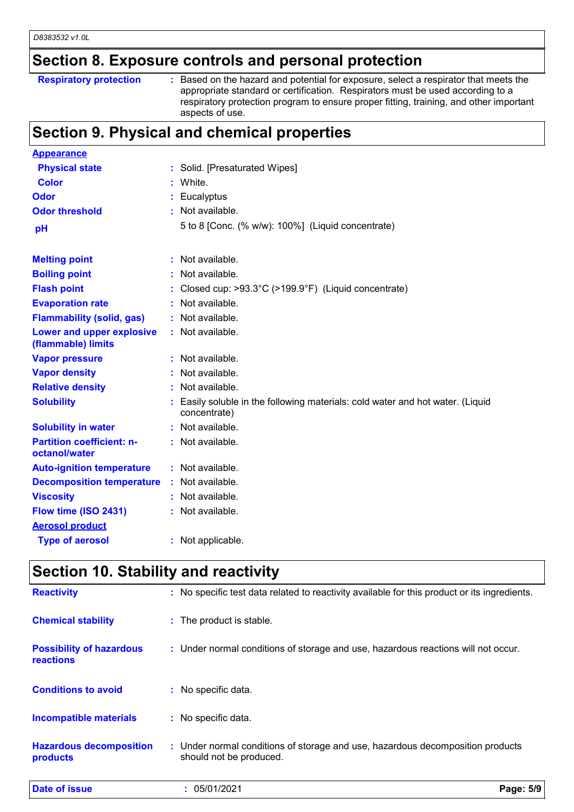# **Section 8. Exposure controls and personal protection**

**Respiratory protection** : Based on the hazard and potential for exposure, select a respirator that meets the appropriate standard or certification. Respirators must be used according to a respiratory protection program to ensure proper fitting, training, and other important aspects of use.

### **Section 9. Physical and chemical properties**

| <b>Appearance</b>                                 |                                                                                              |
|---------------------------------------------------|----------------------------------------------------------------------------------------------|
| <b>Physical state</b>                             | Solid. [Presaturated Wipes]                                                                  |
| <b>Color</b>                                      | White.                                                                                       |
| Odor                                              | : Eucalyptus                                                                                 |
| <b>Odor threshold</b>                             | Not available.                                                                               |
| pH                                                | 5 to 8 [Conc. (% w/w): 100%] (Liquid concentrate)                                            |
| <b>Melting point</b>                              | Not available.                                                                               |
| <b>Boiling point</b>                              | Not available.                                                                               |
| <b>Flash point</b>                                | Closed cup: >93.3°C (>199.9°F) (Liquid concentrate)                                          |
| <b>Evaporation rate</b>                           | Not available.                                                                               |
| <b>Flammability (solid, gas)</b>                  | Not available.                                                                               |
| Lower and upper explosive<br>(flammable) limits   | : Not available.                                                                             |
| <b>Vapor pressure</b>                             | Not available.                                                                               |
| <b>Vapor density</b>                              | Not available.                                                                               |
| <b>Relative density</b>                           | : Not available.                                                                             |
| <b>Solubility</b>                                 | Easily soluble in the following materials: cold water and hot water. (Liquid<br>concentrate) |
| <b>Solubility in water</b>                        | : Not available.                                                                             |
| <b>Partition coefficient: n-</b><br>octanol/water | : Not available.                                                                             |
| <b>Auto-ignition temperature</b>                  | : Not available.                                                                             |
| <b>Decomposition temperature</b>                  | : Not available.                                                                             |
| <b>Viscosity</b>                                  | Not available.                                                                               |
| Flow time (ISO 2431)                              | : Not available.                                                                             |
| <b>Aerosol product</b>                            |                                                                                              |
| <b>Type of aerosol</b>                            | : Not applicable.                                                                            |

### **Section 10. Stability and reactivity**

| <b>Date of issue</b>                                | 05/01/2021                                                                                                | Page: 5/9 |
|-----------------------------------------------------|-----------------------------------------------------------------------------------------------------------|-----------|
| <b>Hazardous decomposition</b><br>products          | : Under normal conditions of storage and use, hazardous decomposition products<br>should not be produced. |           |
| <b>Incompatible materials</b>                       | : No specific data.                                                                                       |           |
| <b>Conditions to avoid</b>                          | : No specific data.                                                                                       |           |
| <b>Possibility of hazardous</b><br><b>reactions</b> | : Under normal conditions of storage and use, hazardous reactions will not occur.                         |           |
| <b>Chemical stability</b>                           | : The product is stable.                                                                                  |           |
| <b>Reactivity</b>                                   | : No specific test data related to reactivity available for this product or its ingredients.              |           |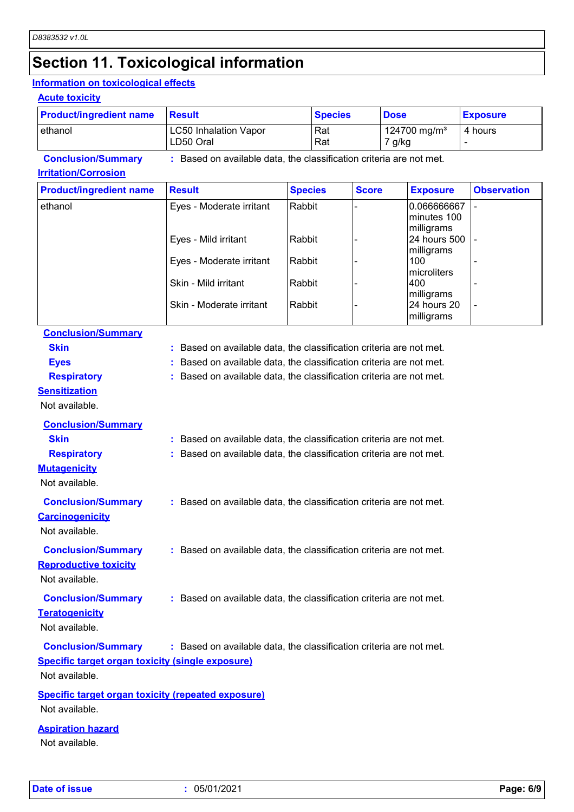# **Section 11. Toxicological information**

#### **Information on toxicological effects**

#### **Acute toxicity**

| <b>Product/ingredient name</b> | <b>Result</b>                                                     | <b>Species</b> | <b>Dose</b>                        | <b>Exposure</b> |
|--------------------------------|-------------------------------------------------------------------|----------------|------------------------------------|-----------------|
| lethanol                       | <b>LC50 Inhalation Vapor</b><br>LD50 Oral                         | l Rat<br>  Rat | 124700 mg/m <sup>3</sup><br>7 g/kg | 4 hours         |
| <b>Conclusion/Summary</b>      | Based on available data, the classification criteria are not met. |                |                                    |                 |

#### **Irritation/Corrosion**

| <b>Product/ingredient name</b> | <b>Result</b>            | <b>Species</b> | <b>Score</b> | <b>Exposure</b>                          | <b>Observation</b> |
|--------------------------------|--------------------------|----------------|--------------|------------------------------------------|--------------------|
| ethanol                        | Eyes - Moderate irritant | Rabbit         |              | 0.066666667<br>minutes 100<br>milligrams |                    |
|                                | Eyes - Mild irritant     | Rabbit         |              | 24 hours 500<br>milligrams               |                    |
|                                | Eyes - Moderate irritant | Rabbit         |              | 100<br>microliters                       |                    |
|                                | Skin - Mild irritant     | Rabbit         |              | 400<br>milligrams                        |                    |
|                                | Skin - Moderate irritant | Rabbit         |              | 24 hours 20<br>milligrams                |                    |

### **Conclusion/Summary**

| <b>Skin</b>                                               | : Based on available data, the classification criteria are not met. |
|-----------------------------------------------------------|---------------------------------------------------------------------|
| <b>Eyes</b>                                               | Based on available data, the classification criteria are not met.   |
| <b>Respiratory</b>                                        | : Based on available data, the classification criteria are not met. |
| <b>Sensitization</b>                                      |                                                                     |
| Not available.                                            |                                                                     |
| <b>Conclusion/Summary</b>                                 |                                                                     |
| <b>Skin</b>                                               | : Based on available data, the classification criteria are not met. |
| <b>Respiratory</b>                                        | Based on available data, the classification criteria are not met.   |
| <b>Mutagenicity</b>                                       |                                                                     |
| Not available.                                            |                                                                     |
| <b>Conclusion/Summary</b>                                 | : Based on available data, the classification criteria are not met. |
| <b>Carcinogenicity</b>                                    |                                                                     |
| Not available.                                            |                                                                     |
|                                                           |                                                                     |
| <b>Conclusion/Summary</b>                                 | : Based on available data, the classification criteria are not met. |
| <b>Reproductive toxicity</b><br>Not available.            |                                                                     |
|                                                           |                                                                     |
| <b>Conclusion/Summary</b>                                 | : Based on available data, the classification criteria are not met. |
| <b>Teratogenicity</b>                                     |                                                                     |
| Not available.                                            |                                                                     |
| <b>Conclusion/Summary</b>                                 | : Based on available data, the classification criteria are not met. |
| <b>Specific target organ toxicity (single exposure)</b>   |                                                                     |
| Not available.                                            |                                                                     |
| <b>Specific target organ toxicity (repeated exposure)</b> |                                                                     |
| Not available.                                            |                                                                     |
|                                                           |                                                                     |

#### **Aspiration hazard**

Not available.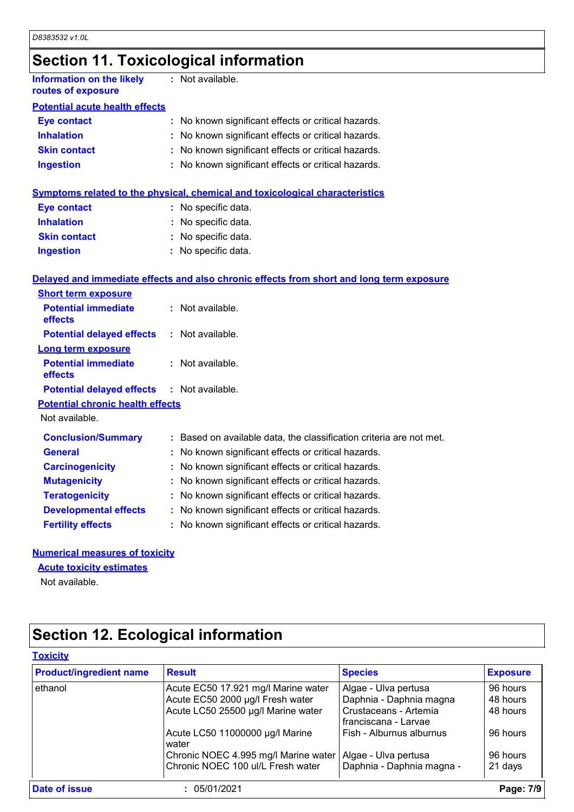# **Section 11. Toxicological information**

| Information on the likely<br>routes of exposure | : Not available.                                    |
|-------------------------------------------------|-----------------------------------------------------|
| <b>Potential acute health effects</b>           |                                                     |
| <b>Eye contact</b>                              | : No known significant effects or critical hazards. |
| <b>Inhalation</b>                               | : No known significant effects or critical hazards. |
| <b>Skin contact</b>                             | : No known significant effects or critical hazards. |
| <b>Ingestion</b>                                | : No known significant effects or critical hazards. |
|                                                 |                                                     |

| Symptoms related to the physical, chemical and toxicological characteristics |
|------------------------------------------------------------------------------|
|------------------------------------------------------------------------------|

| <b>Eye contact</b>  | : No specific data. |
|---------------------|---------------------|
| <b>Inhalation</b>   | : No specific data. |
| <b>Skin contact</b> | : No specific data. |
| <b>Ingestion</b>    | : No specific data. |

#### **Delayed and immediate effects and also chronic effects from short and long term exposure**

| <b>Short term exposure</b>                        |  |                                                                     |  |  |
|---------------------------------------------------|--|---------------------------------------------------------------------|--|--|
| <b>Potential immediate</b><br><b>effects</b>      |  | : Not available.                                                    |  |  |
| <b>Potential delayed effects</b>                  |  | : Not available.                                                    |  |  |
| <b>Long term exposure</b>                         |  |                                                                     |  |  |
| <b>Potential immediate</b><br>effects             |  | $:$ Not available.                                                  |  |  |
| <b>Potential delayed effects : Not available.</b> |  |                                                                     |  |  |
| <b>Potential chronic health effects</b>           |  |                                                                     |  |  |
| Not available.                                    |  |                                                                     |  |  |
| <b>Conclusion/Summary</b>                         |  | : Based on available data, the classification criteria are not met. |  |  |
| <b>General</b>                                    |  | : No known significant effects or critical hazards.                 |  |  |
| <b>Carcinogenicity</b>                            |  | : No known significant effects or critical hazards.                 |  |  |
| <b>Mutagenicity</b>                               |  | : No known significant effects or critical hazards.                 |  |  |
| <b>Teratogenicity</b>                             |  | : No known significant effects or critical hazards.                 |  |  |
| <b>Developmental effects</b>                      |  | : No known significant effects or critical hazards.                 |  |  |
| <b>Fertility effects</b>                          |  | : No known significant effects or critical hazards.                 |  |  |

#### **Numerical measures of toxicity**

#### **Acute toxicity estimates**

Not available.

# **Section 12. Ecological information**

| <b>Product/ingredient name</b> | <b>Result</b>                            | <b>Species</b>                                | <b>Exposure</b> |
|--------------------------------|------------------------------------------|-----------------------------------------------|-----------------|
| ethanol                        | Acute EC50 17.921 mg/l Marine water      | Algae - Ulva pertusa                          | 96 hours        |
|                                | Acute EC50 2000 µg/l Fresh water         | Daphnia - Daphnia magna                       | 48 hours        |
|                                | Acute LC50 25500 µg/l Marine water       | Crustaceans - Artemia<br>franciscana - Larvae | 48 hours        |
|                                | Acute LC50 11000000 µg/l Marine<br>water | Fish - Alburnus alburnus                      | 96 hours        |
|                                | Chronic NOEC 4.995 mg/l Marine water     | Algae - Ulva pertusa                          | 96 hours        |
|                                | Chronic NOEC 100 ul/L Fresh water        | Daphnia - Daphnia magna -                     | 21 days         |
| Date of issue                  | 05/01/2021                               |                                               | Page: 7/9       |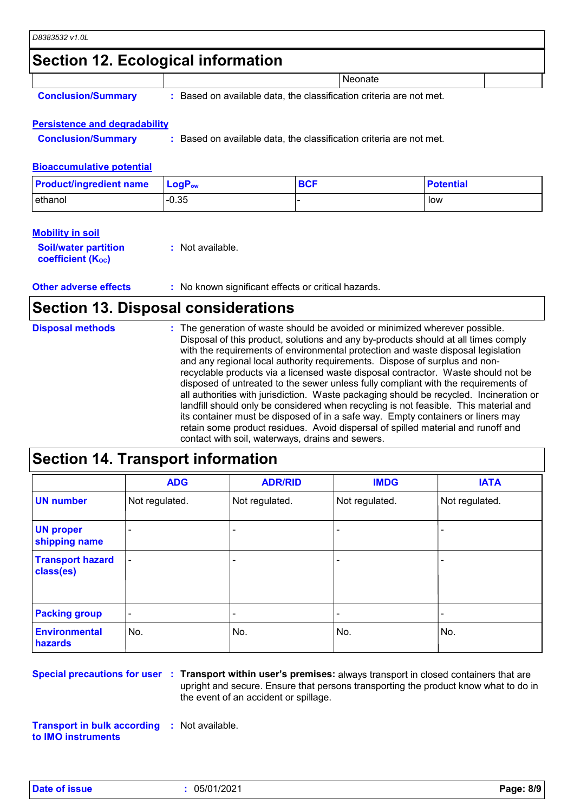### **Section 12. Ecological information**

|  |  | <b>Conclusion/Summary</b> |
|--|--|---------------------------|
|  |  |                           |

**:** Based on available data, the classification criteria are not met.

**Neonate** 

#### **Persistence and degradability**

**Conclusion/Summary :** Based on available data, the classification criteria are not met.

#### **Bioaccumulative potential**

| <b>Product/ingredient name</b> | $\mathsf{LocP}_\mathsf{ow}$ | <b>BCF</b> | <b>Potential</b> |
|--------------------------------|-----------------------------|------------|------------------|
| ethanol                        | $-0.35$                     |            | low              |

#### **Mobility in soil**

| <b>Soil/water partition</b> | : Not available. |
|-----------------------------|------------------|
| <b>coefficient (Koc)</b>    |                  |

**Other adverse effects** : No known significant effects or critical hazards.

### **Section 13. Disposal considerations**

| <b>Disposal methods</b> | : The generation of waste should be avoided or minimized wherever possible.<br>Disposal of this product, solutions and any by-products should at all times comply<br>with the requirements of environmental protection and waste disposal legislation<br>and any regional local authority requirements. Dispose of surplus and non-<br>recyclable products via a licensed waste disposal contractor. Waste should not be<br>disposed of untreated to the sewer unless fully compliant with the requirements of<br>all authorities with jurisdiction. Waste packaging should be recycled. Incineration or<br>landfill should only be considered when recycling is not feasible. This material and<br>its container must be disposed of in a safe way. Empty containers or liners may |
|-------------------------|-------------------------------------------------------------------------------------------------------------------------------------------------------------------------------------------------------------------------------------------------------------------------------------------------------------------------------------------------------------------------------------------------------------------------------------------------------------------------------------------------------------------------------------------------------------------------------------------------------------------------------------------------------------------------------------------------------------------------------------------------------------------------------------|
|                         | retain some product residues. Avoid dispersal of spilled material and runoff and<br>contact with soil, waterways, drains and sewers.                                                                                                                                                                                                                                                                                                                                                                                                                                                                                                                                                                                                                                                |

### **Section 14. Transport information**

|                                      | <b>ADG</b>               | <b>ADR/RID</b> | <b>IMDG</b>              | <b>IATA</b>    |
|--------------------------------------|--------------------------|----------------|--------------------------|----------------|
| <b>UN number</b>                     | Not regulated.           | Not regulated. | Not regulated.           | Not regulated. |
| <b>UN proper</b><br>shipping name    | $\overline{\phantom{0}}$ |                |                          |                |
| <b>Transport hazard</b><br>class(es) |                          |                | $\overline{\phantom{0}}$ |                |
| <b>Packing group</b>                 | $\overline{\phantom{a}}$ |                | $\blacksquare$           |                |
| <b>Environmental</b><br>hazards      | No.                      | No.            | No.                      | No.            |

**Special precautions for user Transport within user's premises:** always transport in closed containers that are **:** upright and secure. Ensure that persons transporting the product know what to do in the event of an accident or spillage.

**Transport in bulk according :** Not available. **to IMO instruments**